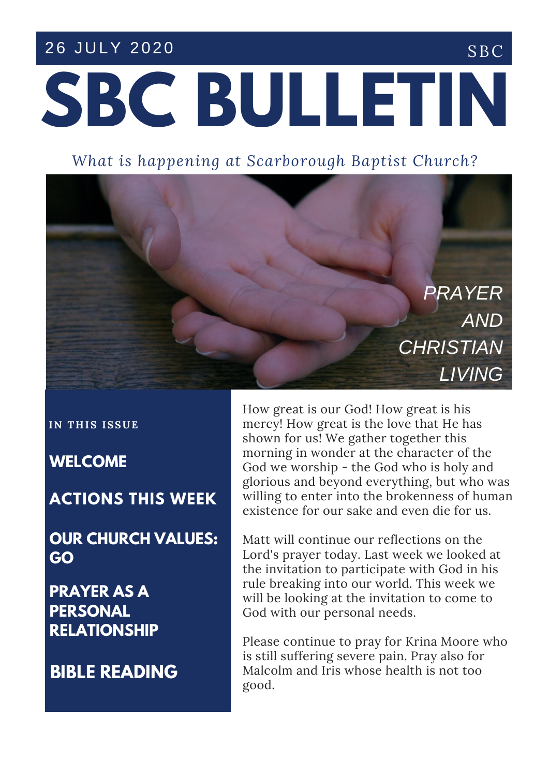### 26 JULY 2020 SBC

# **SBC BULLETIN**

*What is happening at Scarborough Baptist Church?*



**IN T H IS ISSUE**

**WELCOME**

**MORNING ACTIONS THIS WEEK**

**OUR CHURCH VALUES: GO**

**PRAYER AS A PERSONAL RELATIONSHIP**

**BIBLE READING**

How great is our God! How great is his mercy! How great is the love that He has shown for us! We gather together this morning in wonder at the character of the God we worship - the God who is holy and glorious and beyond everything, but who was willing to enter into the brokenness of human existence for our sake and even die for us.

Matt will continue our reflections on the Lord's prayer today. Last week we looked at the invitation to participate with God in his rule breaking into our world. This week we will be looking at the invitation to come to God with our personal needs.

Please continue to pray for Krina Moore who is still suffering severe pain. Pray also for Malcolm and Iris whose health is not too good.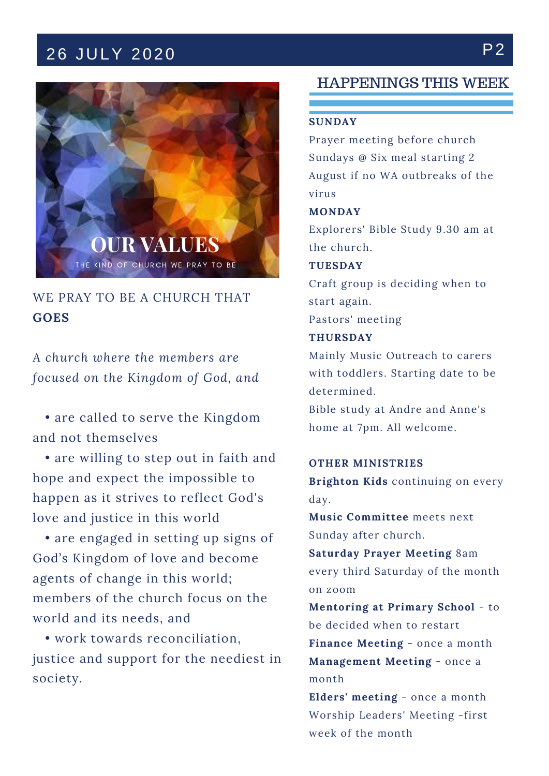## 26 JULY 2020 P2



WE PRAY TO BE A CHURCH THAT **GOES**

*A church where the members are focused on the Kingdom of God, and*

• are called to serve the Kingdom and not themselves

• are willing to step out in faith and hope and expect the impossible to happen as it strives to reflect God's love and justice in this world

• are engaged in setting up signs of God's Kingdom of love and become agents of change in this world; members of the church focus on the world and its needs, and

• work towards reconciliation, justice and support for the neediest in society.

#### HAPPENINGS THIS WEEK

#### **SUNDAY**

Prayer meeting before church Sundays @ Six meal starting 2 August if no WA outbreaks of the virus

#### **MONDAY**

Explorers' Bible Study 9.30 am at the church.

#### **TUESDAY**

Craft group is deciding when to start again. Pastors' meeting

#### **THURSDAY**

Mainly Music Outreach to carers with toddlers. Starting date to be determined.

Bible study at Andre and Anne's home at 7pm. All welcome.

#### **OTHER MINISTRIES**

**Brighton Kids** continuing on every day.

**Music Committee** meets next Sunday after church.

**Saturday Prayer Meeting** 8am every third Saturday of the month on zoom

**Mentoring at Primary School** - to be decided when to restart

**Finance Meeting** - once a month **Management Meeting** - once a month

**Elders' meeting** - once a month Worship Leaders' Meeting -first week of the month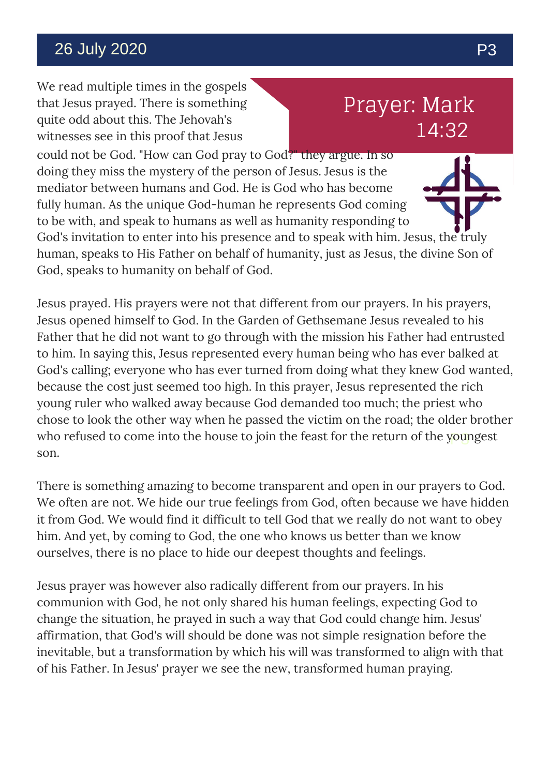## 26 July 2020 P3

We read multiple times in the gospels that Jesus prayed. There is something quite odd about this. The Jehovah's witnesses see in this proof that Jesus

## Prayer: Mark 14:32

could not be God. "How can God pray to God?" they argue. In so doing they miss the mystery of the person of Jesus. Jesus is the mediator between humans and God. He is God who has become fully human. As the unique God-human he represents God coming to be with, and speak to humans as well as humanity responding to

God's invitation to enter into his presence and to speak with him. Jesus, the truly human, speaks to His Father on behalf of humanity, just as Jesus, the divine Son of God, speaks to humanity on behalf of God.

who refused to come into the house to join the feast for the return of the y<mark>ou</mark>ngest Jesus prayed. His prayers were not that different from our prayers. In his prayers, Jesus opened himself to God. In the Garden of Gethsemane Jesus revealed to his Father that he did not want to go through with the mission his Father had entrusted to him. In saying this, Jesus represented every human being who has ever balked at God's calling; everyone who has ever turned from doing what they knew God wanted, because the cost just seemed too high. In this prayer, Jesus represented the rich young ruler who walked away because God demanded too much; the priest who chose to look the other way when he passed the victim on the road; the older brother son.

There is something amazing to become transparent and open in our prayers to God. We often are not. We hide our true feelings from God, often because we have hidden it from God. We would find it difficult to tell God that we really do not want to obey him. And yet, by coming to God, the one who knows us better than we know ourselves, there is no place to hide our deepest thoughts and feelings.

Jesus prayer was however also radically different from our prayers. In his communion with God, he not only shared his human feelings, expecting God to change the situation, he prayed in such a way that God could change him. Jesus' affirmation, that God's will should be done was not simple resignation before the inevitable, but a transformation by which his will was transformed to align with that of his Father. In Jesus' prayer we see the new, transformed human praying.